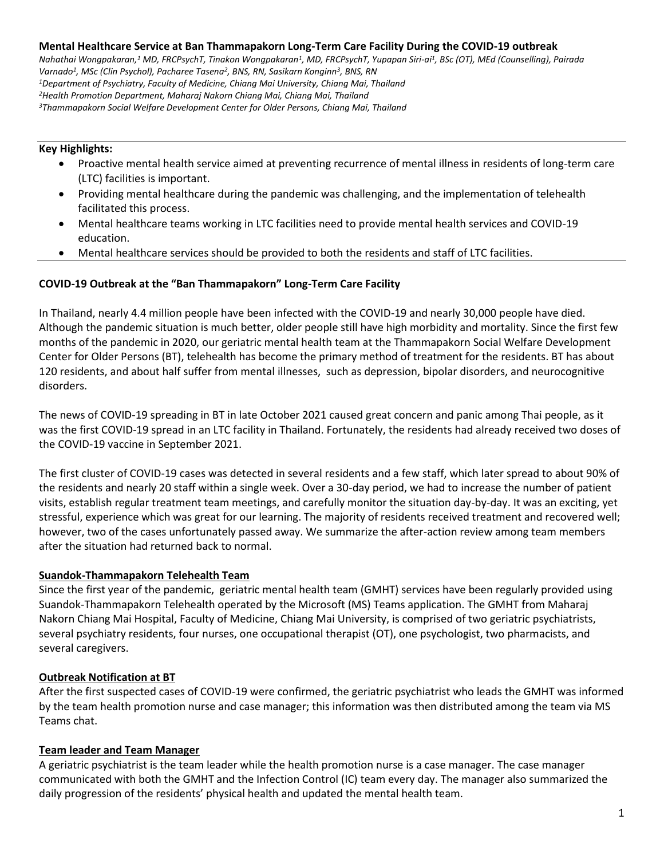**Mental Healthcare Service at Ban Thammapakorn Long-Term Care Facility During the COVID-19 outbreak** *Nahathai Wongpakaran,<sup>1</sup> MD, FRCPsychT, Tinakon Wongpakaran<sup>1</sup> , MD, FRCPsychT, Yupapan Siri-ai<sup>1</sup> , BSc (OT), MEd (Counselling), Pairada Varnado<sup>1</sup> , MSc (Clin Psychol), Pacharee Tasena<sup>2</sup> , BNS, RN, Sasikarn Konginn<sup>3</sup> , BNS, RN <sup>1</sup>Department of Psychiatry, Faculty of Medicine, Chiang Mai University, Chiang Mai, Thailand <sup>2</sup>Health Promotion Department, Maharaj Nakorn Chiang Mai, Chiang Mai, Thailand <sup>3</sup>Thammapakorn Social Welfare Development Center for Older Persons, Chiang Mai, Thailand*

### **Key Highlights:**

- Proactive mental health service aimed at preventing recurrence of mental illness in residents of long-term care (LTC) facilities is important.
- Providing mental healthcare during the pandemic was challenging, and the implementation of telehealth facilitated this process.
- Mental healthcare teams working in LTC facilities need to provide mental health services and COVID-19 education.
- Mental healthcare services should be provided to both the residents and staff of LTC facilities.

## **COVID-19 Outbreak at the "Ban Thammapakorn" Long-Term Care Facility**

In Thailand, nearly 4.4 million people have been infected with the COVID-19 and nearly 30,000 people have died. Although the pandemic situation is much better, older people still have high morbidity and mortality. Since the first few months of the pandemic in 2020, our geriatric mental health team at the Thammapakorn Social Welfare Development Center for Older Persons (BT), telehealth has become the primary method of treatment for the residents. BT has about 120 residents, and about half suffer from mental illnesses, such as depression, bipolar disorders, and neurocognitive disorders.

The news of COVID-19 spreading in BT in late October 2021 caused great concern and panic among Thai people, as it was the first COVID-19 spread in an LTC facility in Thailand. Fortunately, the residents had already received two doses of the COVID-19 vaccine in September 2021.

The first cluster of COVID-19 cases was detected in several residents and a few staff, which later spread to about 90% of the residents and nearly 20 staff within a single week. Over a 30-day period, we had to increase the number of patient visits, establish regular treatment team meetings, and carefully monitor the situation day-by-day. It was an exciting, yet stressful, experience which was great for our learning. The majority of residents received treatment and recovered well; however, two of the cases unfortunately passed away. We summarize the after-action review among team members after the situation had returned back to normal.

## **Suandok-Thammapakorn Telehealth Team**

Since the first year of the pandemic, geriatric mental health team (GMHT) services have been regularly provided using Suandok-Thammapakorn Telehealth operated by the Microsoft (MS) Teams application. The GMHT from Maharaj Nakorn Chiang Mai Hospital, Faculty of Medicine, Chiang Mai University, is comprised of two geriatric psychiatrists, several psychiatry residents, four nurses, one occupational therapist (OT), one psychologist, two pharmacists, and several caregivers.

## **Outbreak Notification at BT**

After the first suspected cases of COVID-19 were confirmed, the geriatric psychiatrist who leads the GMHT was informed by the team health promotion nurse and case manager; this information was then distributed among the team via MS Teams chat.

## **Team leader and Team Manager**

A geriatric psychiatrist is the team leader while the health promotion nurse is a case manager. The case manager communicated with both the GMHT and the Infection Control (IC) team every day. The manager also summarized the daily progression of the residents' physical health and updated the mental health team.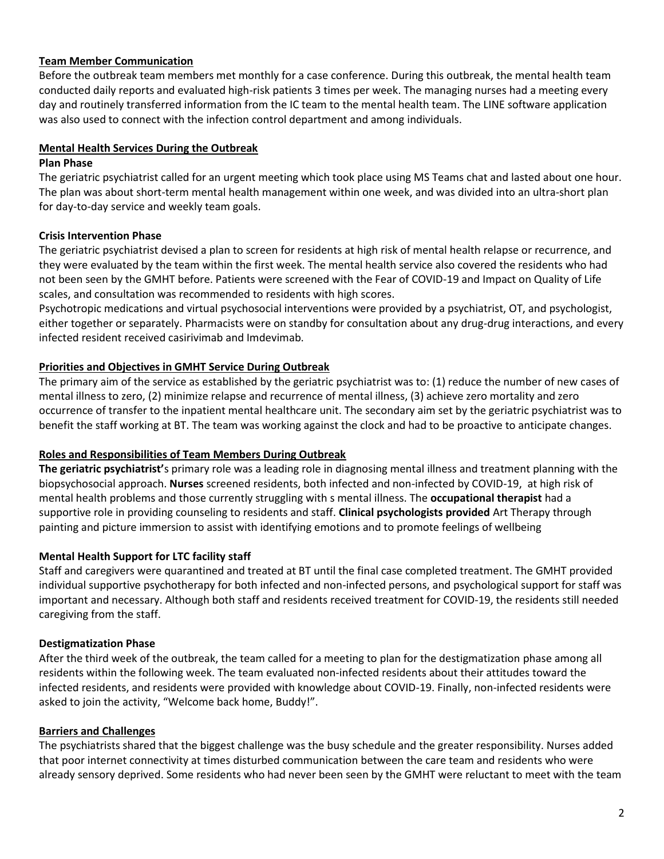## **Team Member Communication**

Before the outbreak team members met monthly for a case conference. During this outbreak, the mental health team conducted daily reports and evaluated high-risk patients 3 times per week. The managing nurses had a meeting every day and routinely transferred information from the IC team to the mental health team. The LINE software application was also used to connect with the infection control department and among individuals.

### **Mental Health Services During the Outbreak**

#### **Plan Phase**

The geriatric psychiatrist called for an urgent meeting which took place using MS Teams chat and lasted about one hour. The plan was about short-term mental health management within one week, and was divided into an ultra-short plan for day-to-day service and weekly team goals.

### **Crisis Intervention Phase**

The geriatric psychiatrist devised a plan to screen for residents at high risk of mental health relapse or recurrence, and they were evaluated by the team within the first week. The mental health service also covered the residents who had not been seen by the GMHT before. Patients were screened with the Fear of COVID-19 and Impact on Quality of Life scales, and consultation was recommended to residents with high scores.

Psychotropic medications and virtual psychosocial interventions were provided by a psychiatrist, OT, and psychologist, either together or separately. Pharmacists were on standby for consultation about any drug-drug interactions, and every infected resident received casirivimab and Imdevimab.

## **Priorities and Objectives in GMHT Service During Outbreak**

The primary aim of the service as established by the geriatric psychiatrist was to: (1) reduce the number of new cases of mental illness to zero, (2) minimize relapse and recurrence of mental illness, (3) achieve zero mortality and zero occurrence of transfer to the inpatient mental healthcare unit. The secondary aim set by the geriatric psychiatrist was to benefit the staff working at BT. The team was working against the clock and had to be proactive to anticipate changes.

#### **Roles and Responsibilities of Team Members During Outbreak**

**The geriatric psychiatrist'**s primary role was a leading role in diagnosing mental illness and treatment planning with the biopsychosocial approach. **Nurses** screened residents, both infected and non-infected by COVID-19, at high risk of mental health problems and those currently struggling with s mental illness. The **occupational therapist** had a supportive role in providing counseling to residents and staff. **Clinical psychologists provided** Art Therapy through painting and picture immersion to assist with identifying emotions and to promote feelings of wellbeing

## **Mental Health Support for LTC facility staff**

Staff and caregivers were quarantined and treated at BT until the final case completed treatment. The GMHT provided individual supportive psychotherapy for both infected and non-infected persons, and psychological support for staff was important and necessary. Although both staff and residents received treatment for COVID-19, the residents still needed caregiving from the staff.

## **Destigmatization Phase**

After the third week of the outbreak, the team called for a meeting to plan for the destigmatization phase among all residents within the following week. The team evaluated non-infected residents about their attitudes toward the infected residents, and residents were provided with knowledge about COVID-19. Finally, non-infected residents were asked to join the activity, "Welcome back home, Buddy!".

#### **Barriers and Challenges**

The psychiatrists shared that the biggest challenge was the busy schedule and the greater responsibility. Nurses added that poor internet connectivity at times disturbed communication between the care team and residents who were already sensory deprived. Some residents who had never been seen by the GMHT were reluctant to meet with the team